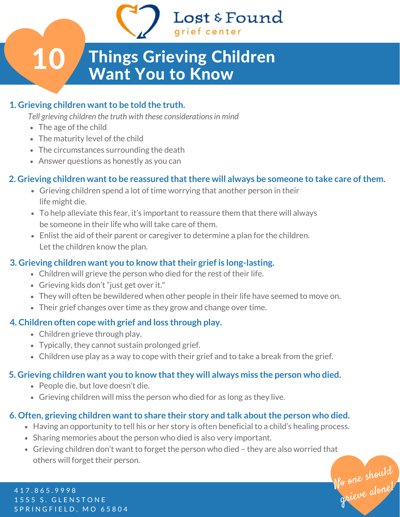# Things Grieving Children Want You to Know

Lost & Found

arief center

### **1. Grieving children** want to be told the truth.

*Tell grieving children the truth with these considerationsin mind*

• The age of the child

10

- The maturity level of the child
- The circumstances surrounding the death
- Answer questions as honestly as you can

### **2. Grieving children wantto be reassured thatthere will always be someone to take care ofthem.**

- Grieving children spend a lot of time worrying that another person in their life might die.
- To help alleviate this fear, it's important to reassure them that there will always be someone in their life who will take care of them.
- Enlist the aid of their parent or caregiver to determine a plan for the children. Let the children know the plan.

### **3. Grieving children want you to know thattheir grief is long-lasting.**

- Children will grieve the person who died for the rest of their life.
- Grieving kids don't "just get over it."
- They will often be bewildered when other people in their life have seemed to move on.
- Their grief changes over time as they grow and change over time.

### **4. Children often cope with grief and loss through play.**

- Children grieve through play.
- Typically, they cannot sustain prolonged grief.
- Children use play as a way to cope with their grief and to take a break from the grief.

#### **5. Grieving children want you to know thatthey will always miss the person who died.**

- People die, but love doesn't die.
- Grieving children will miss the person who died for as long as they live.

### **6. Often, grieving children** want to share their story and talk about the person who died.

- Having an opportunity to tell his or her story is often beneficial to a child's healing process.
- Sharing memories about the person who died is also very important.
- Grieving children don't want to forget the person who died they are also worried that others will forget their person.

No one should grieve alone!

4 1 7 . 8 6 5 . 9 9 9 8 1555 S. GLENSTONE SPRINGFIELD, MO 65804